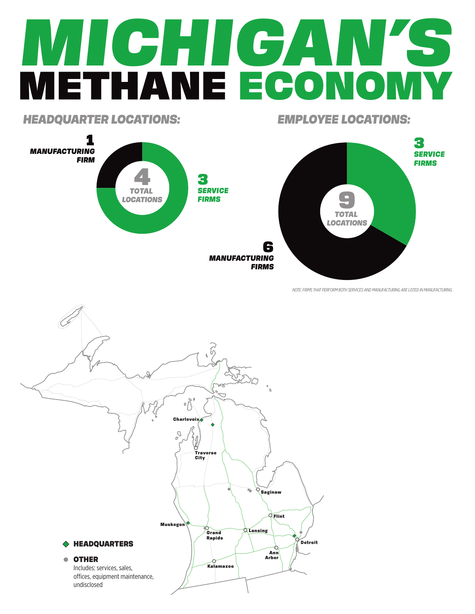## *MICHIGAN'S* METHANE ECONOMY

*HEADQUARTER LOCATIONS: EMPLOYEE LOCATIONS:*



*NOTE: FIRMS THAT PERFORM BOTH SERVICES AND MANUFACTURING ARE LISTED IN MANUFACTURING.*